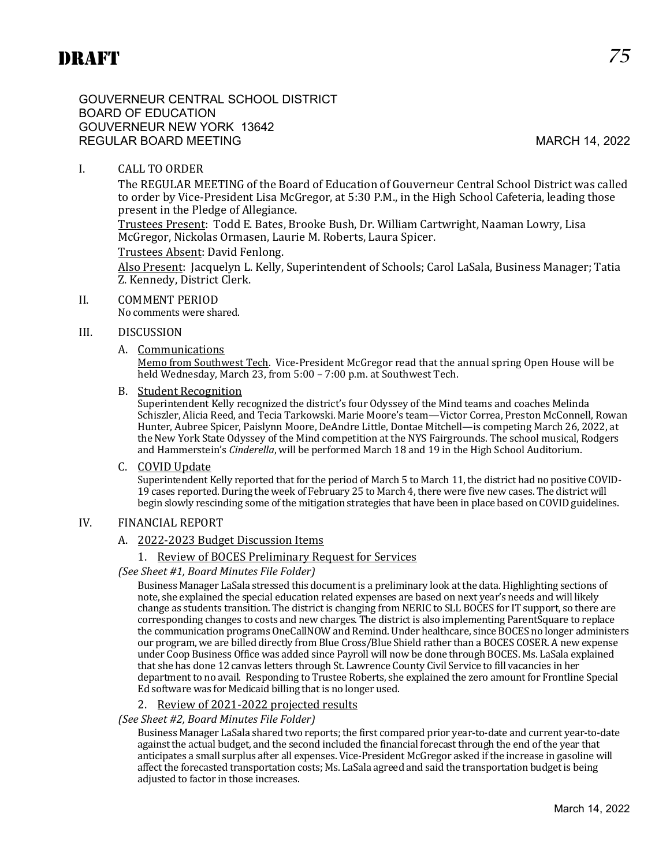GOUVERNEUR CENTRAL SCHOOL DISTRICT BOARD OF EDUCATION GOUVERNEUR NEW YORK 13642 REGULAR BOARD MEETING MARCH 14, 2022

# I. CALL TO ORDER

The REGULAR MEETING of the Board of Education of Gouverneur Central School District was called to order by Vice-President Lisa McGregor, at 5:30 P.M., in the High School Cafeteria, leading those present in the Pledge of Allegiance.

Trustees Present: Todd E. Bates, Brooke Bush, Dr. William Cartwright, Naaman Lowry, Lisa McGregor, Nickolas Ormasen, Laurie M. Roberts, Laura Spicer.

#### Trustees Absent: David Fenlong.

Also Present: Jacquelyn L. Kelly, Superintendent of Schools; Carol LaSala, Business Manager; Tatia Z. Kennedy, District Clerk.

#### II. COMMENT PERIOD

No comments were shared.

#### III. DISCUSSION

A. Communications

Memo from Southwest Tech. Vice-President McGregor read that the annual spring Open House will be held Wednesday, March 23, from 5:00 – 7:00 p.m. at Southwest Tech.

B. Student Recognition

Superintendent Kelly recognized the district's four Odyssey of the Mind teams and coaches Melinda Schiszler, Alicia Reed, and Tecia Tarkowski. Marie Moore's team—Victor Correa, Preston McConnell, Rowan Hunter, Aubree Spicer, Paislynn Moore, DeAndre Little, Dontae Mitchell—is competing March 26, 2022, at the New York State Odyssey of the Mind competition at the NYS Fairgrounds. The school musical, Rodgers and Hammerstein's *Cinderella*, will be performed March 18 and 19 in the High School Auditorium.

C. COVID Update

Superintendent Kelly reported that for the period of March 5 to March 11, the district had no positive COVID-19 cases reported. During the week of February 25 to March 4, there were five new cases. The district will begin slowly rescinding some of the mitigation strategies that have been in place based on COVID guidelines.

#### IV. FINANCIAL REPORT

#### A. 2022-2023 Budget Discussion Items

#### 1. Review of BOCES Preliminary Request for Services

*(See Sheet #1, Board Minutes File Folder)*

Business Manager LaSala stressed this document is a preliminary look at the data. Highlighting sections of note, she explained the special education related expenses are based on next year's needs and will likely change as students transition. The district is changing from NERIC to SLL BOCES for IT support, so there are corresponding changes to costs and new charges. The district is also implementing ParentSquare to replace the communication programs OneCallNOW and Remind. Under healthcare, since BOCES no longer administers our program, we are billed directly from Blue Cross/Blue Shield rather than a BOCES COSER. A new expense under Coop Business Office was added since Payroll will now be done through BOCES. Ms. LaSala explained that she has done 12 canvas letters through St. Lawrence County Civil Service to fill vacancies in her department to no avail. Responding to Trustee Roberts, she explained the zero amount for Frontline Special Ed software was for Medicaid billing that is no longer used.

#### 2. Review of 2021-2022 projected results

#### *(See Sheet #2, Board Minutes File Folder)*

Business Manager LaSala shared two reports; the first compared prior year-to-date and current year-to-date against the actual budget, and the second included the financial forecast through the end of the year that anticipates a small surplus after all expenses. Vice-President McGregor asked if the increase in gasoline will affect the forecasted transportation costs; Ms. LaSala agreed and said the transportation budget is being adjusted to factor in those increases.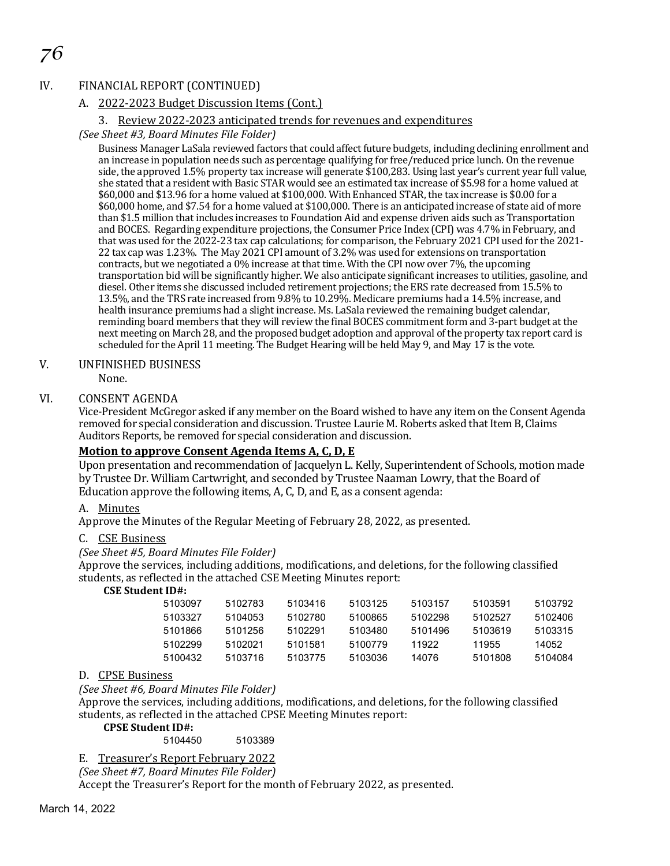# *76*

#### IV. FINANCIAL REPORT (CONTINUED)

### A. 2022-2023 Budget Discussion Items (Cont.)

#### 3. Review 2022-2023 anticipated trends for revenues and expenditures

#### *(See Sheet #3, Board Minutes File Folder)*

Business Manager LaSala reviewed factors that could affect future budgets, including declining enrollment and an increase in population needs such as percentage qualifying for free/reduced price lunch. On the revenue side, the approved 1.5% property tax increase will generate \$100,283. Using last year's current year full value, she stated that a resident with Basic STAR would see an estimated tax increase of \$5.98 for a home valued at \$60,000 and \$13.96 for a home valued at \$100,000. With Enhanced STAR, the tax increase is \$0.00 for a \$60,000 home, and \$7.54 for a home valued at \$100,000. There is an anticipated increase of state aid of more than \$1.5 million that includes increases to Foundation Aid and expense driven aids such as Transportation and BOCES. Regarding expenditure projections, the Consumer Price Index (CPI) was 4.7% in February, and that was used for the 2022-23 tax cap calculations; for comparison, the February 2021 CPI used for the 2021- 22 tax cap was 1.23%. The May 2021 CPI amount of 3.2% was used for extensions on transportation contracts, but we negotiated a 0% increase at that time. With the CPI now over 7%, the upcoming transportation bid will be significantly higher. We also anticipate significant increases to utilities, gasoline, and diesel. Other items she discussed included retirement projections; the ERS rate decreased from 15.5% to 13.5%, and the TRS rate increased from 9.8% to 10.29%. Medicare premiums had a 14.5% increase, and health insurance premiums had a slight increase. Ms. LaSala reviewed the remaining budget calendar, reminding board members that they will review the final BOCES commitment form and 3-part budget at the next meeting on March 28, and the proposed budget adoption and approval of the property tax report card is scheduled for the April 11 meeting. The Budget Hearing will be held May 9, and May 17 is the vote.

#### V. UNFINISHED BUSINESS

None.

#### VI. CONSENT AGENDA

Vice-President McGregor asked if any member on the Board wished to have any item on the Consent Agenda removed for special consideration and discussion. Trustee Laurie M. Roberts asked that Item B, Claims Auditors Reports, be removed for special consideration and discussion.

### **Motion to approve Consent Agenda Items A, C, D, E**

Upon presentation and recommendation of Jacquelyn L. Kelly, Superintendent of Schools, motion made by Trustee Dr. William Cartwright, and seconded by Trustee Naaman Lowry, that the Board of Education approve the following items, A, C, D, and E, as a consent agenda:

#### A. Minutes

Approve the Minutes of the Regular Meeting of February 28, 2022, as presented.

#### C. CSE Business

#### *(See Sheet #5, Board Minutes File Folder)*

Approve the services, including additions, modifications, and deletions, for the following classified students, as reflected in the attached CSE Meeting Minutes report:

# **CSE Student ID#:**

| 5103097 | 5102783 | 5103416 | 5103125 | 5103157 | 5103591 | 5103792 |
|---------|---------|---------|---------|---------|---------|---------|
| 5103327 | 5104053 | 5102780 | 5100865 | 5102298 | 5102527 | 5102406 |
| 5101866 | 5101256 | 5102291 | 5103480 | 5101496 | 5103619 | 5103315 |
| 5102299 | 5102021 | 5101581 | 5100779 | 11922   | 11955   | 14052   |
| 5100432 | 5103716 | 5103775 | 5103036 | 14076   | 5101808 | 5104084 |

#### D. CPSE Business

#### *(See Sheet #6, Board Minutes File Folder)*

Approve the services, including additions, modifications, and deletions, for the following classified students, as reflected in the attached CPSE Meeting Minutes report:

#### **CPSE Student ID#:**

#### 5104450 5103389

#### E. Treasurer's Report February 2022

*(See Sheet #7, Board Minutes File Folder)*

Accept the Treasurer's Report for the month of February 2022, as presented.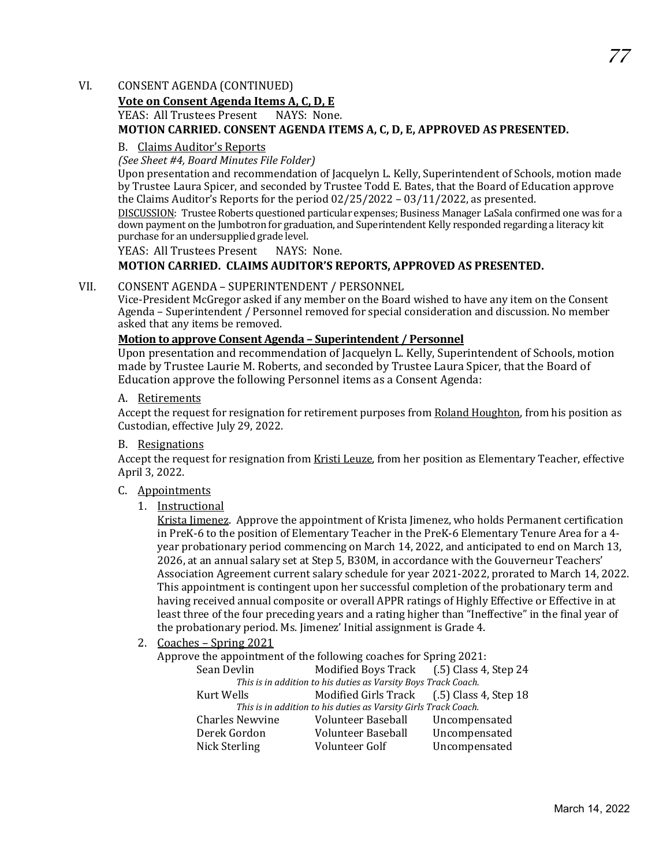#### VI. CONSENT AGENDA (CONTINUED)

# **Vote on Consent Agenda Items A, C, D, E**

YEAS: All Trustees Present

#### **MOTION CARRIED. CONSENT AGENDA ITEMS A, C, D, E, APPROVED AS PRESENTED.**

#### B. Claims Auditor's Reports

*(See Sheet #4, Board Minutes File Folder)*

Upon presentation and recommendation of Jacquelyn L. Kelly, Superintendent of Schools, motion made by Trustee Laura Spicer, and seconded by Trustee Todd E. Bates, that the Board of Education approve the Claims Auditor's Reports for the period 02/25/2022 – 03/11/2022, as presented.

DISCUSSION: Trustee Roberts questioned particular expenses; Business Manager LaSala confirmed one was for a down payment on the Jumbotron for graduation, and Superintendent Kelly responded regarding a literacy kit purchase for an undersupplied grade level.

YEAS: All Trustees Present NAYS: None.

#### **MOTION CARRIED. CLAIMS AUDITOR'S REPORTS, APPROVED AS PRESENTED.**

#### VII. CONSENT AGENDA – SUPERINTENDENT / PERSONNEL

Vice-President McGregor asked if any member on the Board wished to have any item on the Consent Agenda - Superintendent / Personnel removed for special consideration and discussion. No member asked that any items be removed.

#### **Motion to approve Consent Agenda – Superintendent / Personnel**

Upon presentation and recommendation of Jacquelyn L. Kelly, Superintendent of Schools, motion made by Trustee Laurie M. Roberts, and seconded by Trustee Laura Spicer, that the Board of Education approve the following Personnel items as a Consent Agenda:

#### A. Retirements

Accept the request for resignation for retirement purposes from Roland Houghton, from his position as Custodian, effective July 29, 2022.

#### B. Resignations

Accept the request for resignation from Kristi Leuze, from her position as Elementary Teacher, effective April 3, 2022.

#### C. Appointments

#### 1. Instructional

Krista Jimenez. Approve the appointment of Krista Jimenez, who holds Permanent certification in PreK-6 to the position of Elementary Teacher in the PreK-6 Elementary Tenure Area for a 4 year probationary period commencing on March 14, 2022, and anticipated to end on March 13, 2026, at an annual salary set at Step 5, B30M, in accordance with the Gouverneur Teachers' Association Agreement current salary schedule for year 2021-2022, prorated to March 14, 2022. This appointment is contingent upon her successful completion of the probationary term and having received annual composite or overall APPR ratings of Highly Effective or Effective in at least three of the four preceding years and a rating higher than "Ineffective" in the final year of the probationary period. Ms. Jimenez' Initial assignment is Grade 4.

2. Coaches – Spring 2021

Approve the appointment of the following coaches for Spring 2021:<br>Sean Devlin Modified Boys Track (.5) Class 4, Step 24

Sean Devlin Modified Boys Track (.5) Class 4, Step 24

*This is in addition to his duties as Varsity Boys Track Coach.*  Kurt Wells Modified Girls Track (.5) Class 4, Step 18 *This is in addition to his duties as Varsity Girls Track Coach.* 

| This is in addition to his duties as varsity on is Truck Couch. |               |  |  |  |  |  |
|-----------------------------------------------------------------|---------------|--|--|--|--|--|
| Volunteer Baseball                                              | Uncompensated |  |  |  |  |  |
| Volunteer Baseball                                              | Uncompensated |  |  |  |  |  |
| Volunteer Golf                                                  | Uncompensated |  |  |  |  |  |
|                                                                 |               |  |  |  |  |  |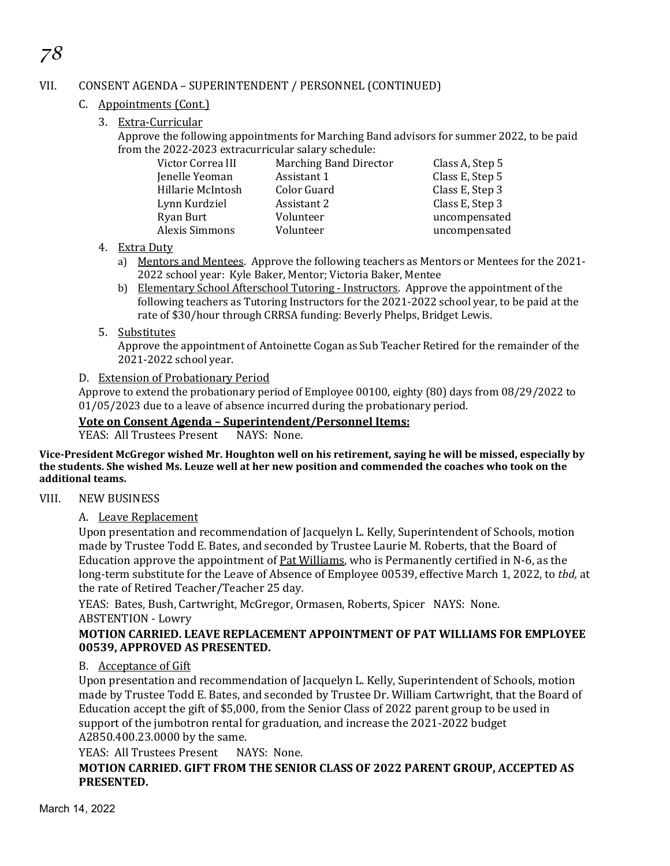# VII. CONSENT AGENDA – SUPERINTENDENT / PERSONNEL (CONTINUED)

C. Appointments (Cont.)

*78*

3. Extra-Curricular

Approve the following appointments for Marching Band advisors for summer 2022, to be paid from the 2022-2023 extracurricular salary schedule:

| Victor Correa III | <b>Marching Band Director</b> | Class A, Step 5 |
|-------------------|-------------------------------|-----------------|
| Jenelle Yeoman    | Assistant 1                   | Class E, Step 5 |
| Hillarie McIntosh | Color Guard                   | Class E, Step 3 |
| Lynn Kurdziel     | Assistant 2                   | Class E, Step 3 |
| Ryan Burt         | Volunteer                     | uncompensated   |
| Alexis Simmons    | Volunteer                     | uncompensated   |
|                   |                               |                 |

#### 4. Extra Duty

- a) Mentors and Mentees. Approve the following teachers as Mentors or Mentees for the 2021- 2022 school year: Kyle Baker, Mentor; Victoria Baker, Mentee
- b) Elementary School Afterschool Tutoring Instructors. Approve the appointment of the following teachers as Tutoring Instructors for the 2021-2022 school year, to be paid at the rate of \$30/hour through CRRSA funding: Beverly Phelps, Bridget Lewis.
- 5. Substitutes

Approve the appointment of Antoinette Cogan as Sub Teacher Retired for the remainder of the 2021-2022 school year.

### D. Extension of Probationary Period

Approve to extend the probationary period of Employee 00100, eighty (80) days from 08/29/2022 to 01/05/2023 due to a leave of absence incurred during the probationary period.

# **Vote on Consent Agenda – Superintendent/Personnel Items:**

YEAS: All Trustees Present

**Vice-President McGregor wished Mr. Houghton well on his retirement, saying he will be missed, especially by the students. She wished Ms. Leuze well at her new position and commended the coaches who took on the additional teams.** 

#### VIII. NEW BUSINESS

A. Leave Replacement

Upon presentation and recommendation of Jacquelyn L. Kelly, Superintendent of Schools, motion made by Trustee Todd E. Bates, and seconded by Trustee Laurie M. Roberts, that the Board of Education approve the appointment of Pat Williams, who is Permanently certified in N-6, as the long-term substitute for the Leave of Absence of Employee 00539, effective March 1, 2022, to *tbd,* at the rate of Retired Teacher/Teacher 25 day*.*

YEAS: Bates, Bush, Cartwright, McGregor, Ormasen, Roberts, Spicer NAYS: None. ABSTENTION - Lowry

#### **MOTION CARRIED. LEAVE REPLACEMENT APPOINTMENT OF PAT WILLIAMS FOR EMPLOYEE 00539, APPROVED AS PRESENTED.**

#### B. Acceptance of Gift

Upon presentation and recommendation of Jacquelyn L. Kelly, Superintendent of Schools, motion made by Trustee Todd E. Bates, and seconded by Trustee Dr. William Cartwright, that the Board of Education accept the gift of \$5,000, from the Senior Class of 2022 parent group to be used in support of the jumbotron rental for graduation, and increase the 2021-2022 budget A2850.400.23.0000 by the same.

YEAS: All Trustees Present NAYS: None.

**MOTION CARRIED. GIFT FROM THE SENIOR CLASS OF 2022 PARENT GROUP, ACCEPTED AS PRESENTED.**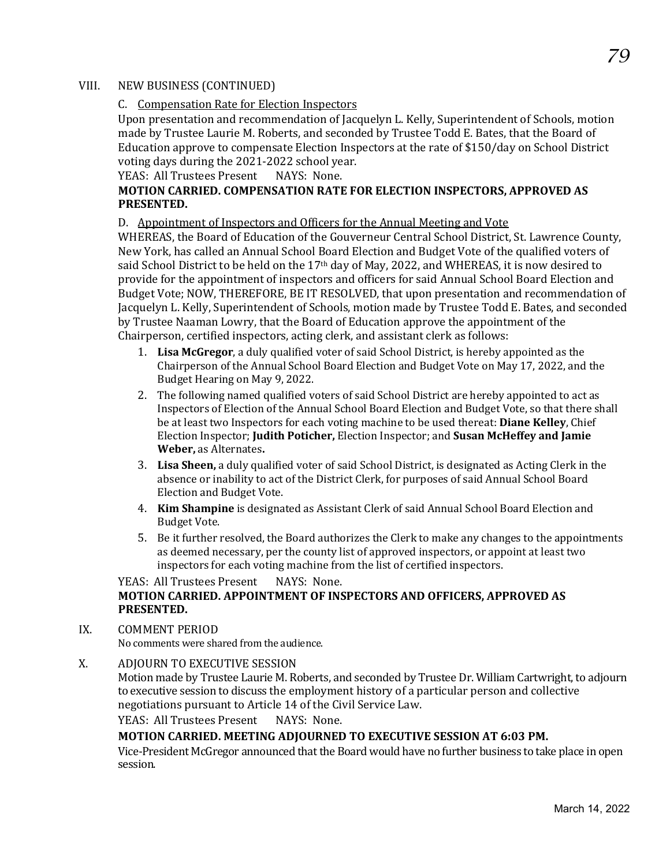#### VIII. NEW BUSINESS (CONTINUED)

#### C. Compensation Rate for Election Inspectors

Upon presentation and recommendation of Jacquelyn L. Kelly, Superintendent of Schools, motion made by Trustee Laurie M. Roberts, and seconded by Trustee Todd E. Bates, that the Board of Education approve to compensate Election Inspectors at the rate of \$150/day on School District voting days during the 2021-2022 school year.<br>YEAS: All Trustees Present NAYS: None.

YEAS: All Trustees Present

# **MOTION CARRIED. COMPENSATION RATE FOR ELECTION INSPECTORS, APPROVED AS PRESENTED.**

#### D. Appointment of Inspectors and Officers for the Annual Meeting and Vote

WHEREAS, the Board of Education of the Gouverneur Central School District, St. Lawrence County, New York, has called an Annual School Board Election and Budget Vote of the qualified voters of said School District to be held on the 17<sup>th</sup> day of May, 2022, and WHEREAS, it is now desired to provide for the appointment of inspectors and officers for said Annual School Board Election and Budget Vote; NOW, THEREFORE, BE IT RESOLVED, that upon presentation and recommendation of Jacquelyn L. Kelly, Superintendent of Schools, motion made by Trustee Todd E. Bates, and seconded by Trustee Naaman Lowry, that the Board of Education approve the appointment of the Chairperson, certified inspectors, acting clerk, and assistant clerk as follows:

- 1. **Lisa McGregor**, a duly qualified voter of said School District, is hereby appointed as the Chairperson of the Annual School Board Election and Budget Vote on May 17, 2022, and the Budget Hearing on May 9, 2022.
- 2. The following named qualified voters of said School District are hereby appointed to act as Inspectors of Election of the Annual School Board Election and Budget Vote, so that there shall be at least two Inspectors for each voting machine to be used thereat: **Diane Kelley**, Chief Election Inspector; **Judith Poticher,** Election Inspector; and **Susan McHeffey and Jamie Weber,** as Alternates**.**
- 3. **Lisa Sheen,** a duly qualified voter of said School District, is designated as Acting Clerk in the absence or inability to act of the District Clerk, for purposes of said Annual School Board Election and Budget Vote.
- 4. **Kim Shampine** is designated as Assistant Clerk of said Annual School Board Election and Budget Vote.
- 5. Be it further resolved, the Board authorizes the Clerk to make any changes to the appointments as deemed necessary, per the county list of approved inspectors, or appoint at least two inspectors for each voting machine from the list of certified inspectors.

#### YEAS: All Trustees Present NAYS: None. **MOTION CARRIED. APPOINTMENT OF INSPECTORS AND OFFICERS, APPROVED AS PRESENTED.**

#### IX. COMMENT PERIOD

No comments were shared from the audience.

X. ADJOURN TO EXECUTIVE SESSION

Motion made by Trustee Laurie M. Roberts, and seconded by Trustee Dr. William Cartwright, to adjourn to executive session to discuss the employment history of a particular person and collective negotiations pursuant to Article 14 of the Civil Service Law.

YEAS: All Trustees Present NAYS: None.

#### **MOTION CARRIED. MEETING ADJOURNED TO EXECUTIVE SESSION AT 6:03 PM.**

Vice-President McGregor announced that the Board would have no further business to take place in open session.